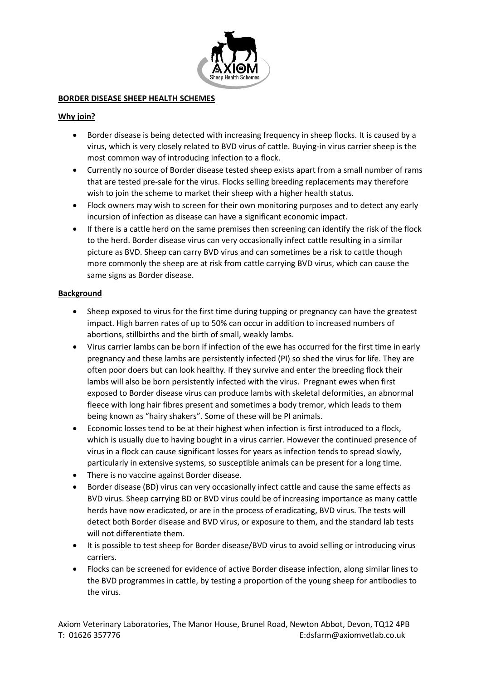

## **BORDER DISEASE SHEEP HEALTH SCHEMES**

# **Why join?**

- Border disease is being detected with increasing frequency in sheep flocks. It is caused by a virus, which is very closely related to BVD virus of cattle. Buying-in virus carrier sheep is the most common way of introducing infection to a flock.
- Currently no source of Border disease tested sheep exists apart from a small number of rams that are tested pre-sale for the virus. Flocks selling breeding replacements may therefore wish to join the scheme to market their sheep with a higher health status.
- Flock owners may wish to screen for their own monitoring purposes and to detect any early incursion of infection as disease can have a significant economic impact.
- If there is a cattle herd on the same premises then screening can identify the risk of the flock to the herd. Border disease virus can very occasionally infect cattle resulting in a similar picture as BVD. Sheep can carry BVD virus and can sometimes be a risk to cattle though more commonly the sheep are at risk from cattle carrying BVD virus, which can cause the same signs as Border disease.

## **Background**

- Sheep exposed to virus for the first time during tupping or pregnancy can have the greatest impact. High barren rates of up to 50% can occur in addition to increased numbers of abortions, stillbirths and the birth of small, weakly lambs.
- Virus carrier lambs can be born if infection of the ewe has occurred for the first time in early pregnancy and these lambs are persistently infected (PI) so shed the virus for life. They are often poor doers but can look healthy. If they survive and enter the breeding flock their lambs will also be born persistently infected with the virus. Pregnant ewes when first exposed to Border disease virus can produce lambs with skeletal deformities, an abnormal fleece with long hair fibres present and sometimes a body tremor, which leads to them being known as "hairy shakers". Some of these will be PI animals.
- Economic losses tend to be at their highest when infection is first introduced to a flock, which is usually due to having bought in a virus carrier. However the continued presence of virus in a flock can cause significant losses for years as infection tends to spread slowly, particularly in extensive systems, so susceptible animals can be present for a long time.
- There is no vaccine against Border disease.
- Border disease (BD) virus can very occasionally infect cattle and cause the same effects as BVD virus. Sheep carrying BD or BVD virus could be of increasing importance as many cattle herds have now eradicated, or are in the process of eradicating, BVD virus. The tests will detect both Border disease and BVD virus, or exposure to them, and the standard lab tests will not differentiate them.
- It is possible to test sheep for Border disease/BVD virus to avoid selling or introducing virus carriers.
- Flocks can be screened for evidence of active Border disease infection, along similar lines to the BVD programmes in cattle, by testing a proportion of the young sheep for antibodies to the virus.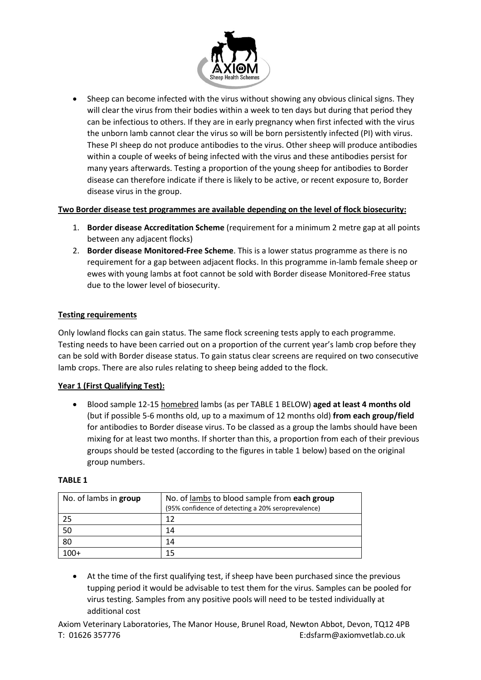

 Sheep can become infected with the virus without showing any obvious clinical signs. They will clear the virus from their bodies within a week to ten days but during that period they can be infectious to others. If they are in early pregnancy when first infected with the virus the unborn lamb cannot clear the virus so will be born persistently infected (PI) with virus. These PI sheep do not produce antibodies to the virus. Other sheep will produce antibodies within a couple of weeks of being infected with the virus and these antibodies persist for many years afterwards. Testing a proportion of the young sheep for antibodies to Border disease can therefore indicate if there is likely to be active, or recent exposure to, Border disease virus in the group.

## **Two Border disease test programmes are available depending on the level of flock biosecurity:**

- 1. **Border disease Accreditation Scheme** (requirement for a minimum 2 metre gap at all points between any adjacent flocks)
- 2. **Border disease Monitored-Free Scheme**. This is a lower status programme as there is no requirement for a gap between adjacent flocks. In this programme in-lamb female sheep or ewes with young lambs at foot cannot be sold with Border disease Monitored-Free status due to the lower level of biosecurity.

# **Testing requirements**

Only lowland flocks can gain status. The same flock screening tests apply to each programme. Testing needs to have been carried out on a proportion of the current year's lamb crop before they can be sold with Border disease status. To gain status clear screens are required on two consecutive lamb crops. There are also rules relating to sheep being added to the flock.

### **Year 1 (First Qualifying Test):**

 Blood sample 12-15 homebred lambs (as per TABLE 1 BELOW) **aged at least 4 months old** (but if possible 5-6 months old, up to a maximum of 12 months old) **from each group/field** for antibodies to Border disease virus. To be classed as a group the lambs should have been mixing for at least two months. If shorter than this, a proportion from each of their previous groups should be tested (according to the figures in table 1 below) based on the original group numbers.

### **TABLE 1**

| No. of lambs in group | No. of lambs to blood sample from each group<br>(95% confidence of detecting a 20% seroprevalence) |
|-----------------------|----------------------------------------------------------------------------------------------------|
| 25                    | 12                                                                                                 |
| 50                    | 14                                                                                                 |
| 80                    | 14                                                                                                 |
| $100+$                | 15                                                                                                 |

 At the time of the first qualifying test, if sheep have been purchased since the previous tupping period it would be advisable to test them for the virus. Samples can be pooled for virus testing. Samples from any positive pools will need to be tested individually at additional cost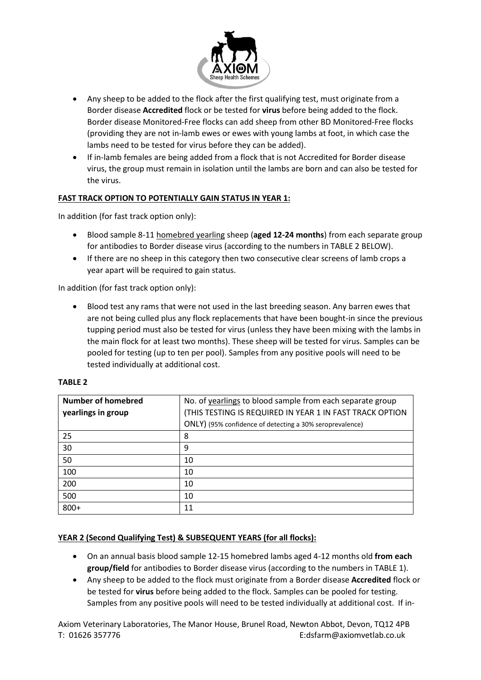

- Any sheep to be added to the flock after the first qualifying test, must originate from a Border disease **Accredited** flock or be tested for **virus** before being added to the flock. Border disease Monitored-Free flocks can add sheep from other BD Monitored-Free flocks (providing they are not in-lamb ewes or ewes with young lambs at foot, in which case the lambs need to be tested for virus before they can be added).
- If in-lamb females are being added from a flock that is not Accredited for Border disease virus, the group must remain in isolation until the lambs are born and can also be tested for the virus.

# **FAST TRACK OPTION TO POTENTIALLY GAIN STATUS IN YEAR 1:**

In addition (for fast track option only):

- Blood sample 8-11 homebred yearling sheep (**aged 12-24 months**) from each separate group for antibodies to Border disease virus (according to the numbers in TABLE 2 BELOW).
- If there are no sheep in this category then two consecutive clear screens of lamb crops a year apart will be required to gain status.

In addition (for fast track option only):

 Blood test any rams that were not used in the last breeding season. Any barren ewes that are not being culled plus any flock replacements that have been bought-in since the previous tupping period must also be tested for virus (unless they have been mixing with the lambs in the main flock for at least two months). These sheep will be tested for virus. Samples can be pooled for testing (up to ten per pool). Samples from any positive pools will need to be tested individually at additional cost.

# **TABLE 2**

| <b>Number of homebred</b> | No. of yearlings to blood sample from each separate group |
|---------------------------|-----------------------------------------------------------|
| yearlings in group        | (THIS TESTING IS REQUIRED IN YEAR 1 IN FAST TRACK OPTION  |
|                           | ONLY) (95% confidence of detecting a 30% seroprevalence)  |
| 25                        | 8                                                         |
| 30                        | 9                                                         |
| 50                        | 10                                                        |
| 100                       | 10                                                        |
| 200                       | 10                                                        |
| 500                       | 10                                                        |
| $800+$                    | 11                                                        |

# **YEAR 2 (Second Qualifying Test) & SUBSEQUENT YEARS (for all flocks):**

- On an annual basis blood sample 12-15 homebred lambs aged 4-12 months old **from each group/field** for antibodies to Border disease virus (according to the numbers in TABLE 1).
- Any sheep to be added to the flock must originate from a Border disease **Accredited** flock or be tested for **virus** before being added to the flock. Samples can be pooled for testing. Samples from any positive pools will need to be tested individually at additional cost. If in-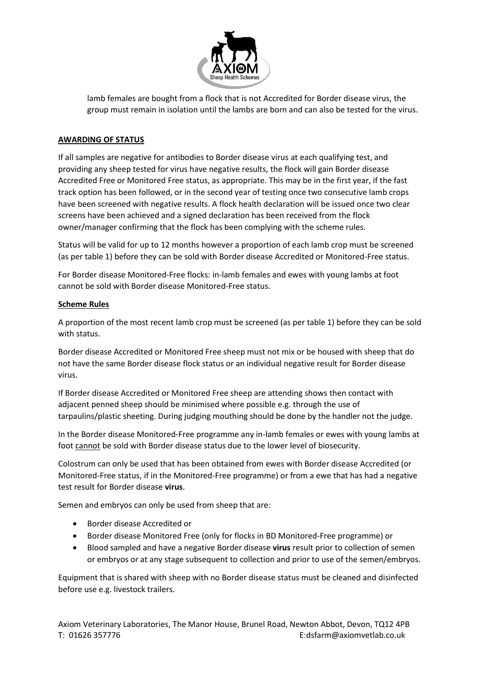

lamb females are bought from a flock that is not Accredited for Border disease virus, the group must remain in isolation until the lambs are born and can also be tested for the virus.

# **AWARDING OF STATUS**

If all samples are negative for antibodies to Border disease virus at each qualifying test, and providing any sheep tested for virus have negative results, the flock will gain Border disease Accredited Free or Monitored Free status, as appropriate. This may be in the first year, if the fast track option has been followed, or in the second year of testing once two consecutive lamb crops have been screened with negative results. A flock health declaration will be issued once two clear screens have been achieved and a signed declaration has been received from the flock owner/manager confirming that the flock has been complying with the scheme rules.

Status will be valid for up to 12 months however a proportion of each lamb crop must be screened (as per table 1) before they can be sold with Border disease Accredited or Monitored-Free status.

For Border disease Monitored-Free flocks: in-lamb females and ewes with young lambs at foot cannot be sold with Border disease Monitored-Free status.

### **Scheme Rules**

A proportion of the most recent lamb crop must be screened (as per table 1) before they can be sold with status.

Border disease Accredited or Monitored Free sheep must not mix or be housed with sheep that do not have the same Border disease flock status or an individual negative result for Border disease virus.

If Border disease Accredited or Monitored Free sheep are attending shows then contact with adjacent penned sheep should be minimised where possible e.g. through the use of tarpaulins/plastic sheeting. During judging mouthing should be done by the handler not the judge.

In the Border disease Monitored-Free programme any in-lamb females or ewes with young lambs at foot cannot be sold with Border disease status due to the lower level of biosecurity.

Colostrum can only be used that has been obtained from ewes with Border disease Accredited (or Monitored-Free status, if in the Monitored-Free programme) or from a ewe that has had a negative test result for Border disease **virus**.

Semen and embryos can only be used from sheep that are:

- Border disease Accredited or
- Border disease Monitored Free (only for flocks in BD Monitored-Free programme) or
- Blood sampled and have a negative Border disease **virus** result prior to collection of semen or embryos or at any stage subsequent to collection and prior to use of the semen/embryos.

Equipment that is shared with sheep with no Border disease status must be cleaned and disinfected before use e.g. livestock trailers.